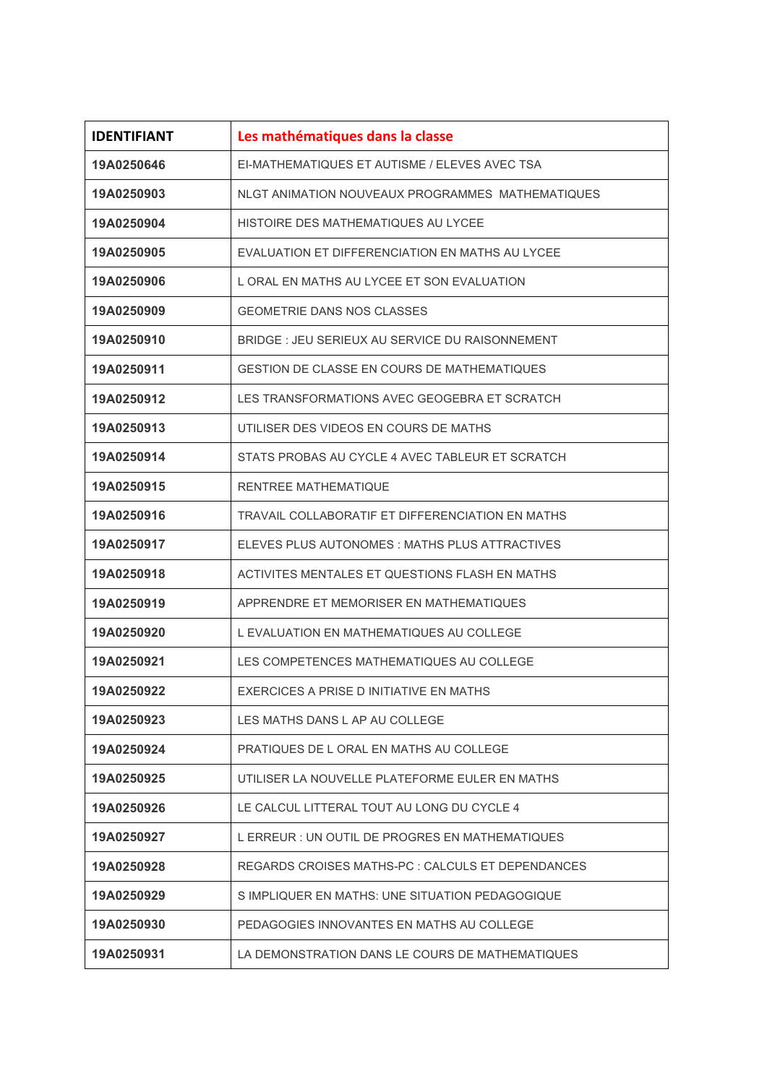| <b>IDENTIFIANT</b> | Les mathématiques dans la classe                  |
|--------------------|---------------------------------------------------|
| 19A0250646         | EI-MATHEMATIQUES ET AUTISME / ELEVES AVEC TSA     |
| 19A0250903         | NLGT ANIMATION NOUVEAUX PROGRAMMES MATHEMATIOUES  |
| 19A0250904         | HISTOIRE DES MATHEMATIQUES AU LYCEE               |
| 19A0250905         | EVALUATION ET DIFFERENCIATION EN MATHS AU LYCEE   |
| 19A0250906         | L ORAL EN MATHS AU LYCEE ET SON EVALUATION        |
| 19A0250909         | <b>GEOMETRIE DANS NOS CLASSES</b>                 |
| 19A0250910         | BRIDGE : JEU SERIEUX AU SERVICE DU RAISONNEMENT   |
| 19A0250911         | GESTION DE CLASSE EN COURS DE MATHEMATIQUES       |
| 19A0250912         | LES TRANSFORMATIONS AVEC GEOGEBRA ET SCRATCH      |
| 19A0250913         | UTILISER DES VIDEOS EN COURS DE MATHS             |
| 19A0250914         | STATS PROBAS AU CYCLE 4 AVEC TABLEUR ET SCRATCH   |
| 19A0250915         | <b>RENTREE MATHEMATIQUE</b>                       |
| 19A0250916         | TRAVAIL COLLABORATIF ET DIFFERENCIATION EN MATHS  |
| 19A0250917         | ELEVES PLUS AUTONOMES : MATHS PLUS ATTRACTIVES    |
| 19A0250918         | ACTIVITES MENTALES ET QUESTIONS FLASH EN MATHS    |
| 19A0250919         | APPRENDRE ET MEMORISER EN MATHEMATIQUES           |
| 19A0250920         | L EVALUATION EN MATHEMATIQUES AU COLLEGE          |
| 19A0250921         | LES COMPETENCES MATHEMATIQUES AU COLLEGE          |
| 19A0250922         | EXERCICES A PRISE D INITIATIVE EN MATHS           |
| 19A0250923         | LES MATHS DANS L AP AU COLLEGE                    |
| 19A0250924         | PRATIQUES DE L ORAL EN MATHS AU COLLEGE           |
| 19A0250925         | UTILISER LA NOUVELLE PLATEFORME EULER EN MATHS    |
| 19A0250926         | LE CALCUL LITTERAL TOUT AU LONG DU CYCLE 4        |
| 19A0250927         | L ERREUR : UN OUTIL DE PROGRES EN MATHEMATIQUES   |
| 19A0250928         | REGARDS CROISES MATHS-PC : CALCULS ET DEPENDANCES |
| 19A0250929         | S IMPLIQUER EN MATHS: UNE SITUATION PEDAGOGIQUE   |
| 19A0250930         | PEDAGOGIES INNOVANTES EN MATHS AU COLLEGE         |
| 19A0250931         | LA DEMONSTRATION DANS LE COURS DE MATHEMATIQUES   |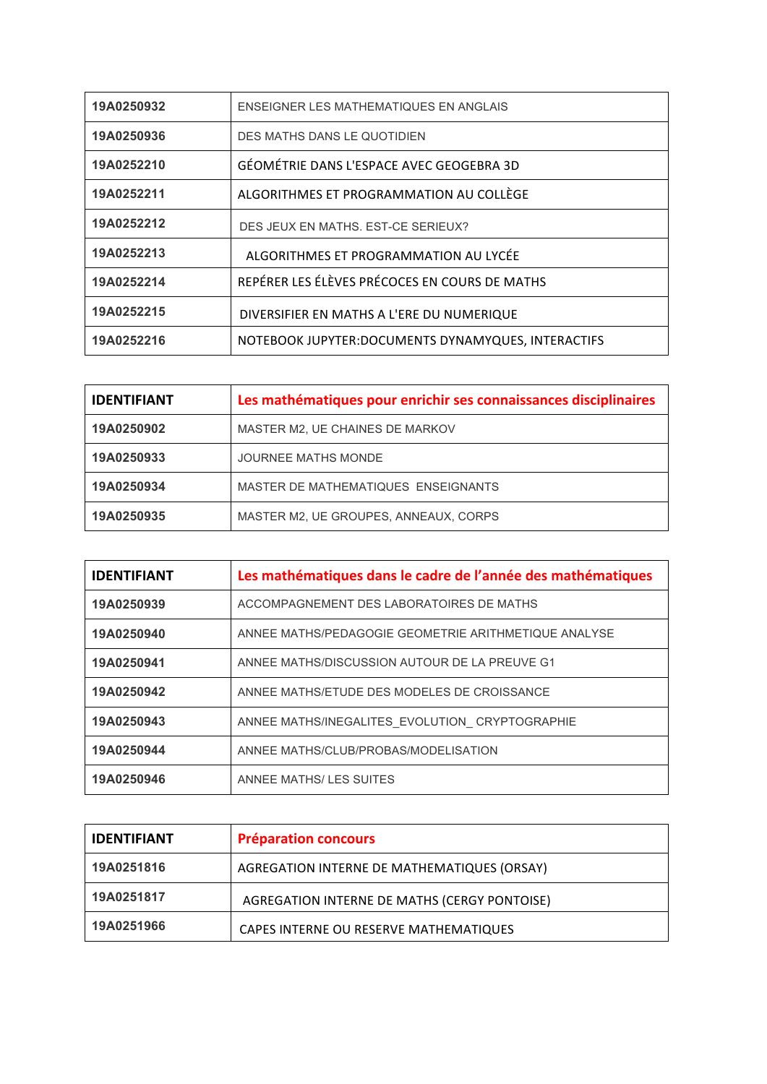| 19A0250932 | ENSEIGNER LES MATHEMATIQUES EN ANGLAIS              |
|------------|-----------------------------------------------------|
| 19A0250936 | DES MATHS DANS LE QUOTIDIEN                         |
| 19A0252210 | GÉOMÉTRIE DANS L'ESPACE AVEC GEOGEBRA 3D            |
| 19A0252211 | ALGORITHMES ET PROGRAMMATION AU COLLÈGE             |
| 19A0252212 | DES JEUX EN MATHS. EST-CE SERIEUX?                  |
| 19A0252213 | ALGORITHMES ET PROGRAMMATION AU LYCÉE               |
| 19A0252214 | REPÉRER LES ÉLÈVES PRÉCOCES EN COURS DE MATHS       |
| 19A0252215 | DIVERSIFIER EN MATHS A L'ERE DU NUMERIQUE           |
| 19A0252216 | NOTEBOOK JUPYTER: DOCUMENTS DYNAMYQUES, INTERACTIFS |

| <b>IDENTIFIANT</b> | Les mathématiques pour enrichir ses connaissances disciplinaires |
|--------------------|------------------------------------------------------------------|
| 19A0250902         | MASTER M2, UE CHAINES DE MARKOV                                  |
| 19A0250933         | JOURNEE MATHS MONDE                                              |
| 19A0250934         | MASTER DE MATHEMATIQUES ENSEIGNANTS                              |
| 19A0250935         | MASTER M2, UE GROUPES, ANNEAUX, CORPS                            |

| <b>IDENTIFIANT</b> | Les mathématiques dans le cadre de l'année des mathématiques |
|--------------------|--------------------------------------------------------------|
| 19A0250939         | ACCOMPAGNEMENT DES LABORATOIRES DE MATHS                     |
| 19A0250940         | ANNEE MATHS/PEDAGOGIE GEOMETRIE ARITHMETIQUE ANALYSE         |
| 19A0250941         | ANNEE MATHS/DISCUSSION AUTOUR DE LA PREUVE G1                |
| 19A0250942         | ANNEE MATHS/ETUDE DES MODELES DE CROISSANCE                  |
| 19A0250943         | ANNEE MATHS/INEGALITES EVOLUTION CRYPTOGRAPHIE               |
| 19A0250944         | ANNEE MATHS/CLUB/PROBAS/MODELISATION                         |
| 19A0250946         | ANNEE MATHS/LES SUITES                                       |

| <b>IDENTIFIANT</b> | <b>Préparation concours</b>                  |
|--------------------|----------------------------------------------|
| 19A0251816         | AGREGATION INTERNE DE MATHEMATIQUES (ORSAY)  |
| 19A0251817         | AGREGATION INTERNE DE MATHS (CERGY PONTOISE) |
| 19A0251966         | CAPES INTERNE OU RESERVE MATHEMATIQUES       |